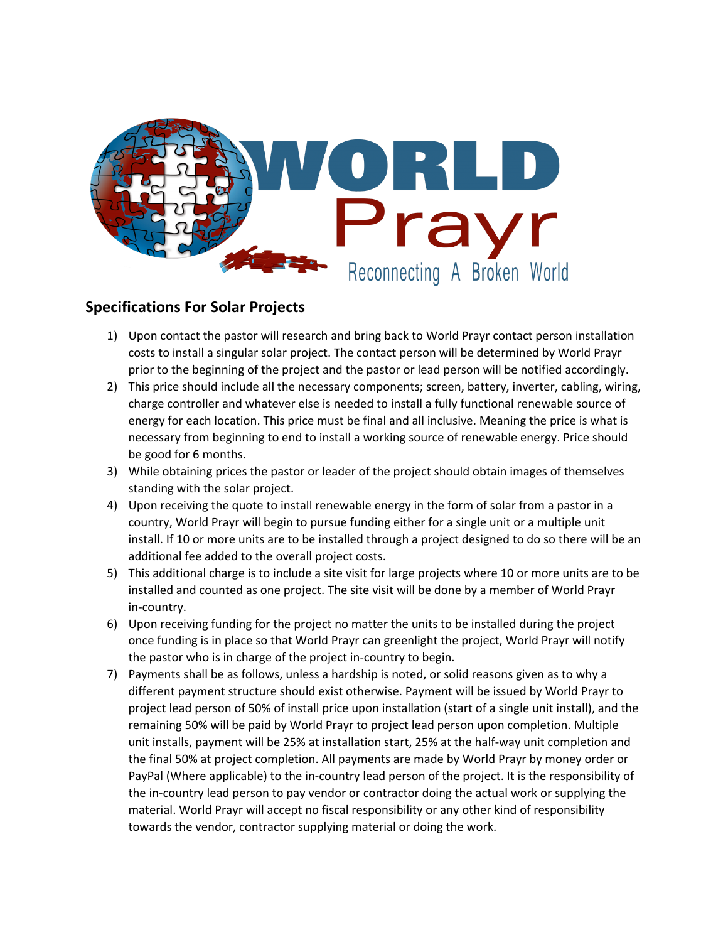

## **Specifications For Solar Projects**

- 1) Upon contact the pastor will research and bring back to World Prayr contact person installation costs to install a singular solar project. The contact person will be determined by World Prayr prior to the beginning of the project and the pastor or lead person will be notified accordingly.
- 2) This price should include all the necessary components; screen, battery, inverter, cabling, wiring, charge controller and whatever else is needed to install a fully functional renewable source of energy for each location. This price must be final and all inclusive. Meaning the price is what is necessary from beginning to end to install a working source of renewable energy. Price should be good for 6 months.
- 3) While obtaining prices the pastor or leader of the project should obtain images of themselves standing with the solar project.
- 4) Upon receiving the quote to install renewable energy in the form of solar from a pastor in a country, World Prayr will begin to pursue funding either for a single unit or a multiple unit install. If 10 or more units are to be installed through a project designed to do so there will be an additional fee added to the overall project costs.
- 5) This additional charge is to include a site visit for large projects where 10 or more units are to be installed and counted as one project. The site visit will be done by a member of World Prayr in-country.
- 6) Upon receiving funding for the project no matter the units to be installed during the project once funding is in place so that World Prayr can greenlight the project, World Prayr will notify the pastor who is in charge of the project in-country to begin.
- 7) Payments shall be as follows, unless a hardship is noted, or solid reasons given as to why a different payment structure should exist otherwise. Payment will be issued by World Prayr to project lead person of 50% of install price upon installation (start of a single unit install), and the remaining 50% will be paid by World Prayr to project lead person upon completion. Multiple unit installs, payment will be 25% at installation start, 25% at the half-way unit completion and the final 50% at project completion. All payments are made by World Prayr by money order or PayPal (Where applicable) to the in-country lead person of the project. It is the responsibility of the in-country lead person to pay vendor or contractor doing the actual work or supplying the material. World Prayr will accept no fiscal responsibility or any other kind of responsibility towards the vendor, contractor supplying material or doing the work.